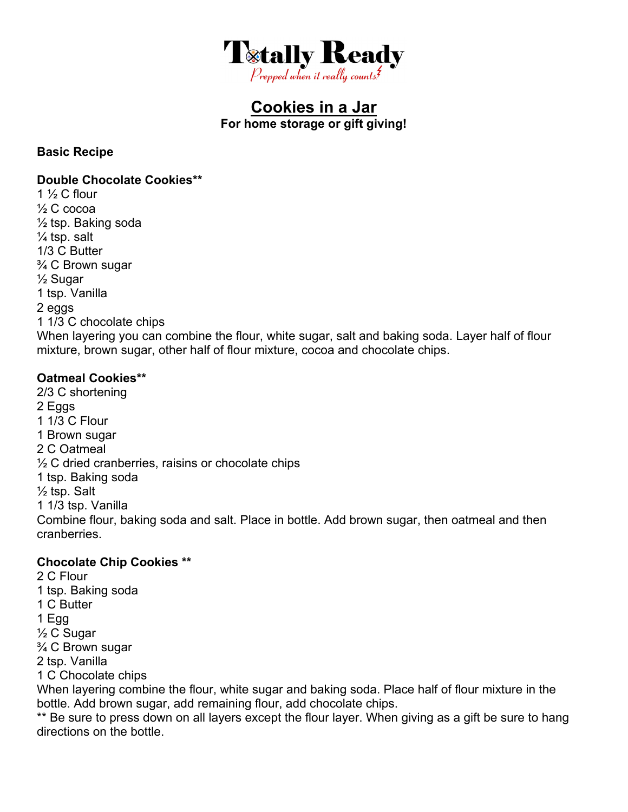

## **Cookies in a Jar For home storage or gift giving!**

#### **Basic Recipe**

#### **Double Chocolate Cookies\*\***

1  $\frac{1}{2}$  C flour ½ C cocoa  $\frac{1}{2}$  tsp. Baking soda ¼ tsp. salt 1/3 C Butter ¾ C Brown sugar ½ Sugar 1 tsp. Vanilla 2 eggs 1 1/3 C chocolate chips When layering you can combine the flour, white sugar, salt and baking soda. Layer half of flour mixture, brown sugar, other half of flour mixture, cocoa and chocolate chips.

### **Oatmeal Cookies\*\***

2/3 C shortening 2 Eggs 1 1/3 C Flour 1 Brown sugar 2 C Oatmeal  $\frac{1}{2}$  C dried cranberries, raisins or chocolate chips 1 tsp. Baking soda  $\frac{1}{2}$  tsp. Salt 1 1/3 tsp. Vanilla Combine flour, baking soda and salt. Place in bottle. Add brown sugar, then oatmeal and then cranberries.

#### **Chocolate Chip Cookies \*\***

2 C Flour 1 tsp. Baking soda 1 C Butter 1 Egg ½ C Sugar ¾ C Brown sugar 2 tsp. Vanilla 1 C Chocolate chips When layering combine the flour, white sugar and baking soda. Place half of flour mixture in the bottle. Add brown sugar, add remaining flour, add chocolate chips.

\*\* Be sure to press down on all layers except the flour layer. When giving as a gift be sure to hang directions on the bottle.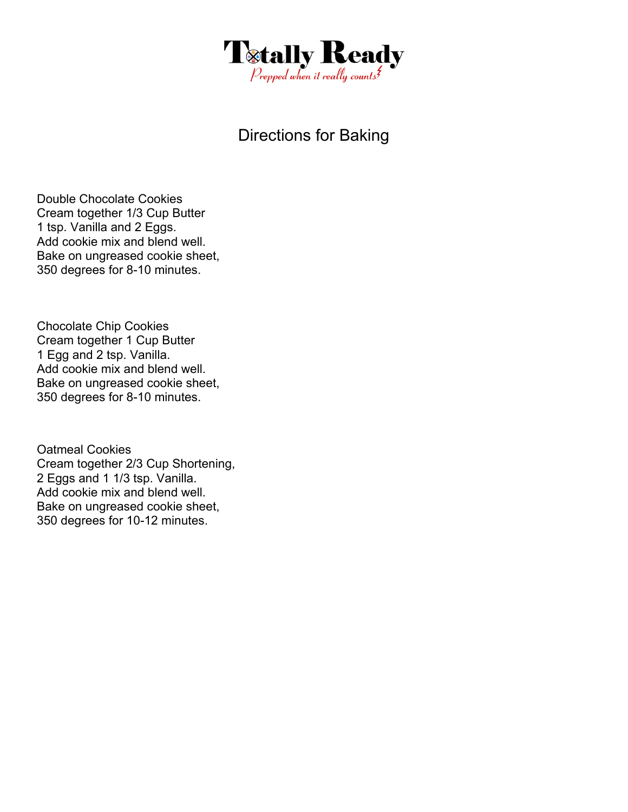

# Directions for Baking

Double Chocolate Cookies Cream together 1/3 Cup Butter 1 tsp. Vanilla and 2 Eggs. Add cookie mix and blend well. Bake on ungreased cookie sheet, 350 degrees for 8-10 minutes.

Chocolate Chip Cookies Cream together 1 Cup Butter 1 Egg and 2 tsp. Vanilla. Add cookie mix and blend well. Bake on ungreased cookie sheet, 350 degrees for 8-10 minutes.

Oatmeal Cookies Cream together 2/3 Cup Shortening, 2 Eggs and 1 1/3 tsp. Vanilla. Add cookie mix and blend well. Bake on ungreased cookie sheet, 350 degrees for 10-12 minutes.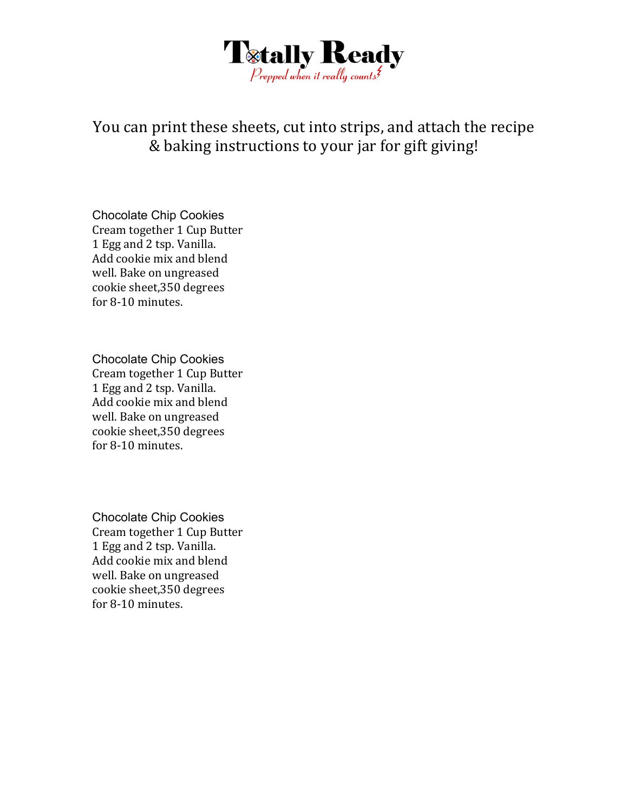

You can print these sheets, cut into strips, and attach the recipe & baking instructions to your jar for gift giving!

Chocolate Chip Cookies Cream together 1 Cup Butter 1 Egg and 2 tsp. Vanilla. Add cookie mix and blend well. Bake on ungreased cookie sheet,350 degrees for 8-10 minutes.

Chocolate Chip Cookies Cream together 1 Cup Butter 1 Egg and 2 tsp. Vanilla. Add cookie mix and blend well. Bake on ungreased cookie sheet,350 degrees for 8-10 minutes.

Chocolate Chip Cookies Cream together 1 Cup Butter 1 Egg and 2 tsp. Vanilla. Add cookie mix and blend well. Bake on ungreased cookie sheet,350 degrees for 8-10 minutes.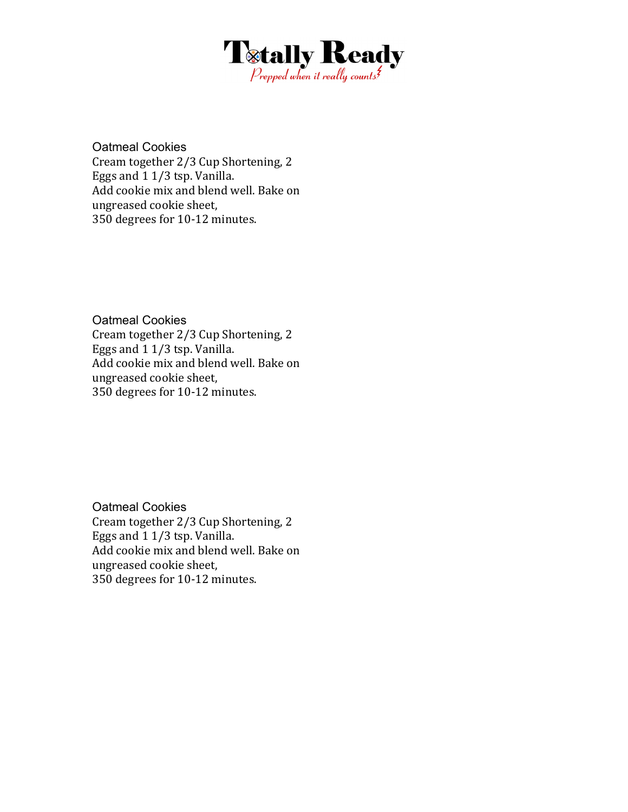

Oatmeal Cookies Cream together 2/3 Cup Shortening, 2 Eggs and 1 1/3 tsp. Vanilla. Add cookie mix and blend well. Bake on ungreased cookie sheet, 350 degrees for 10-12 minutes.

Oatmeal Cookies

Cream together 2/3 Cup Shortening, 2 Eggs and 1 1/3 tsp. Vanilla. Add cookie mix and blend well. Bake on ungreased cookie sheet, 350 degrees for 10-12 minutes.

Oatmeal Cookies Cream together 2/3 Cup Shortening, 2 Eggs and 1 1/3 tsp. Vanilla. Add cookie mix and blend well. Bake on ungreased cookie sheet, 350 degrees for 10-12 minutes.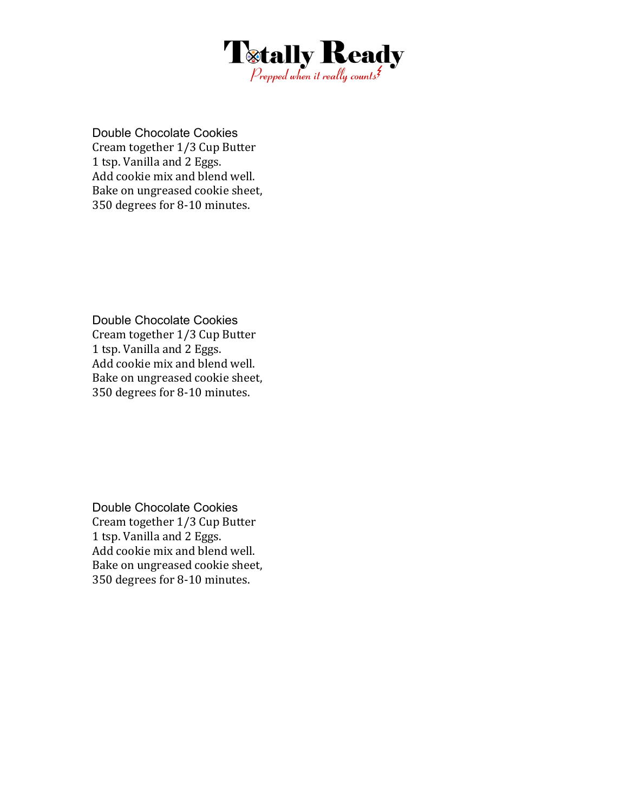

Double Chocolate Cookies Cream together 1/3 Cup Butter 1 tsp. Vanilla and 2 Eggs. Add cookie mix and blend well. Bake on ungreased cookie sheet, 350 degrees for 8-10 minutes.

Double Chocolate Cookies Cream together 1/3 Cup Butter 1 tsp. Vanilla and 2 Eggs. Add cookie mix and blend well. Bake on ungreased cookie sheet, 350 degrees for 8-10 minutes.

Double Chocolate Cookies Cream together 1/3 Cup Butter 1 tsp. Vanilla and 2 Eggs. Add cookie mix and blend well. Bake on ungreased cookie sheet, 350 degrees for 8-10 minutes.